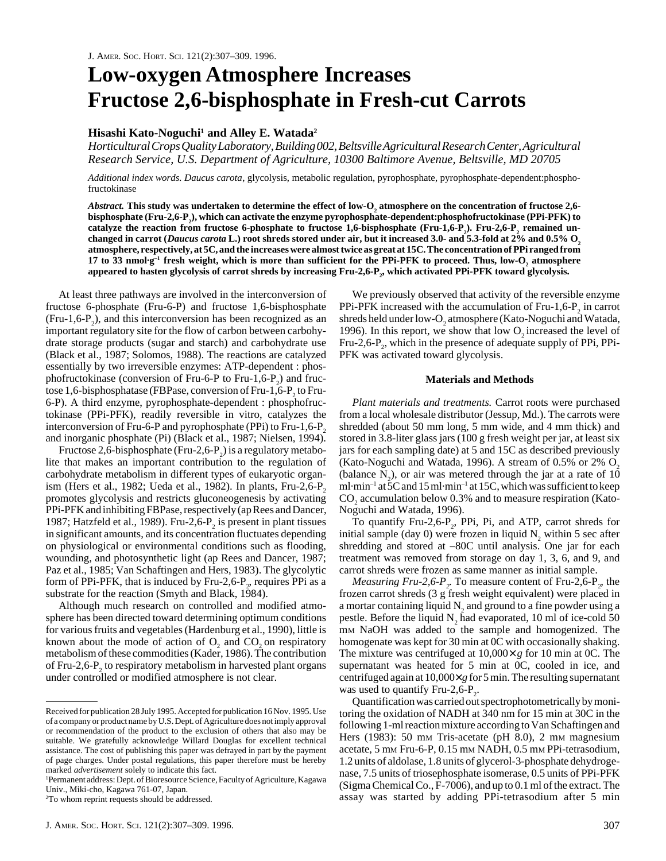# **Low-oxygen Atmosphere Increases Fructose 2,6-bisphosphate in Fresh-cut Carrots**

## **Hisashi Kato-Noguchi1 and Alley E. Watada2**

*Horticultural Crops Quality Laboratory, Building 002, Beltsville Agricultural Research Center, Agricultural Research Service, U.S. Department of Agriculture, 10300 Baltimore Avenue, Beltsville, MD 20705*

*Additional index words. Daucus carota*, glycolysis, metabolic regulation, pyrophosphate, pyrophosphate-dependent:phosphofructokinase

 $A$ *bstract.* This study was undertaken to determine the effect of low-O<sub>2</sub> atmosphere on the concentration of fructose 2,6- $\,$ **bisphosphate (Fru-2,6-P2 ), which can activate the enzyme pyrophosphate-dependent:phosphofructokinase (PPi-PFK) to** catalyze the reaction from fructose 6-phosphate to fructose 1,6-bisphosphate (Fru-1,6-P<sub>2</sub>). Fru-2,6-P<sub>2</sub> remained un**changed in carrot (***Daucus carota* **L.) root shreds stored under air, but it increased 3.0- and 5.3-fold at 2% and 0.5% O2 atmosphere, respectively, at 5C, and the increases were almost twice as great at 15C. The concentration of PPi ranged from** 17 to 33 nmol·g<sup>-1</sup> fresh weight, which is more than sufficient for the PPi-PFK to proceed. Thus, low-O<sub>2</sub> atmosphere appeared to hasten glycolysis of carrot shreds by increasing Fru-2,6-P<sub>2</sub>, which activated PPi-PFK toward glycolysis.

At least three pathways are involved in the interconversion of fructose 6-phosphate (Fru-6-P) and fructose 1,6-bisphosphate  $(Fru-1,6-P_2)$ , and this interconversion has been recognized as an important regulatory site for the flow of carbon between carbohydrate storage products (sugar and starch) and carbohydrate use (Black et al., 1987; Solomos, 1988). The reactions are catalyzed essentially by two irreversible enzymes: ATP-dependent : phosphofructokinase (conversion of Fru-6-P to Fru-1,6- $P_2$ ) and fructose  $1,6$ -bisphosphatase (FBPase, conversion of Fru-1,6-P<sub>2</sub> to Fru-6-P). A third enzyme, pyrophosphate-dependent : phosphofructokinase (PPi-PFK), readily reversible in vitro, catalyzes the interconversion of Fru-6-P and pyrophosphate (PPi) to Fru-1,6-P<sub>2</sub> and inorganic phosphate (Pi) (Black et al., 1987; Nielsen, 1994).

Fructose 2,6-bisphosphate (Fru-2,6-P<sub>2</sub>) is a regulatory metabolite that makes an important contribution to the regulation of carbohydrate metabolism in different types of eukaryotic organism (Hers et al., 1982; Ueda et al., 1982). In plants, Fru-2,6- $P_2$ promotes glycolysis and restricts gluconeogenesis by activating PPi-PFK and inhibiting FBPase, respectively (ap Rees and Dancer, 1987; Hatzfeld et al., 1989). Fru-2,6-P<sub>2</sub> is present in plant tissues in significant amounts, and its concentration fluctuates depending on physiological or environmental conditions such as flooding, wounding, and photosynthetic light (ap Rees and Dancer, 1987; Paz et al., 1985; Van Schaftingen and Hers, 1983). The glycolytic form of PPi-PFK, that is induced by Fru-2,6-P $_{2}$ , requires PPi as a substrate for the reaction (Smyth and Black, 1984).

Although much research on controlled and modified atmosphere has been directed toward determining optimum conditions for various fruits and vegetables (Hardenburg et al., 1990), little is known about the mode of action of  $O_2$  and  $CO_2$  on respiratory metabolism of these commodities (Kader, 1986). The contribution of Fru-2,6-P<sub>2</sub> to respiratory metabolism in harvested plant organs under controlled or modified atmosphere is not clear.

2 To whom reprint requests should be addressed.

We previously observed that activity of the reversible enzyme PPi-PFK increased with the accumulation of Fru-1,6-P<sub>2</sub> in carrot shreds held under low-O<sub>2</sub> atmosphere (Kato-Noguchi and Watada, 1996). In this report, we show that low  $O_2$  increased the level of Fru-2,6-P<sub>2</sub>, which in the presence of adequate supply of PPi, PPi-PFK was activated toward glycolysis.

### **Materials and Methods**

*Plant materials and treatments.* Carrot roots were purchased from a local wholesale distributor (Jessup, Md.). The carrots were shredded (about 50 mm long, 5 mm wide, and 4 mm thick) and stored in 3.8-liter glass jars (100 g fresh weight per jar, at least six jars for each sampling date) at 5 and 15C as described previously (Kato-Noguchi and Watada, 1996). A stream of  $0.5\%$  or  $2\%$  O<sub>2</sub> (balance  $N_2$ ), or air was metered through the jar at a rate of 10 ml·min<sup>-1</sup> at  $5C$  and 15 ml·min<sup>-1</sup> at 15C, which was sufficient to keep CO<sub>2</sub> accumulation below 0.3% and to measure respiration (Kato-Noguchi and Watada, 1996).

To quantify Fru-2,6- $P_2$ , PPi, Pi, and ATP, carrot shreds for initial sample (day 0) were frozen in liquid  $N<sub>2</sub>$  within 5 sec after shredding and stored at –80C until analysis. One jar for each treatment was removed from storage on day 1, 3, 6, and 9, and carrot shreds were frozen as same manner as initial sample.

*Measuring Fru-2,6-P<sub>2</sub>*. To measure content of Fru-2,6-P<sub>2</sub>, the frozen carrot shreds (3 g fresh weight equivalent) were placed in a mortar containing liquid  $N_2$  and ground to a fine powder using a pestle. Before the liquid  $N_2$  had evaporated, 10 ml of ice-cold 50 mM NaOH was added to the sample and homogenized. The homogenate was kept for 30 min at 0C with occasionally shaking. The mixture was centrifuged at 10,000× *g* for 10 min at 0C. The supernatant was heated for 5 min at 0C, cooled in ice, and centrifuged again at 10,000× *g* for 5 min. The resulting supernatant was used to quantify Fru-2,6- $P_2$ .

Quantification was carried out spectrophotometrically by monitoring the oxidation of NADH at 340 nm for 15 min at 30C in the following 1-ml reaction mixture according to Van Schaftingen and Hers (1983): 50 mm Tris-acetate (pH 8.0), 2 mm magnesium acetate, 5 mM Fru-6-P, 0.15 mM NADH, 0.5 mM PPi-tetrasodium, 1.2 units of aldolase, 1.8 units of glycerol-3-phosphate dehydrogenase, 7.5 units of triosephosphate isomerase, 0.5 units of PPi-PFK (Sigma Chemical Co., F-7006), and up to 0.1 ml of the extract. The assay was started by adding PPi-tetrasodium after 5 min

Received for publication 28 July 1995. Accepted for publication 16 Nov. 1995. Use of a company or product name by U.S. Dept. of Agriculture does not imply approval or recommendation of the product to the exclusion of others that also may be suitable. We gratefully acknowledge Willard Douglas for excellent technical assistance. The cost of publishing this paper was defrayed in part by the payment of page charges. Under postal regulations, this paper therefore must be hereby marked *advertisement* solely to indicate this fact.

<sup>1</sup> Permanent address: Dept. of Bioresource Science, Faculty of Agriculture, Kagawa Univ., Miki-cho, Kagawa 761-07, Japan.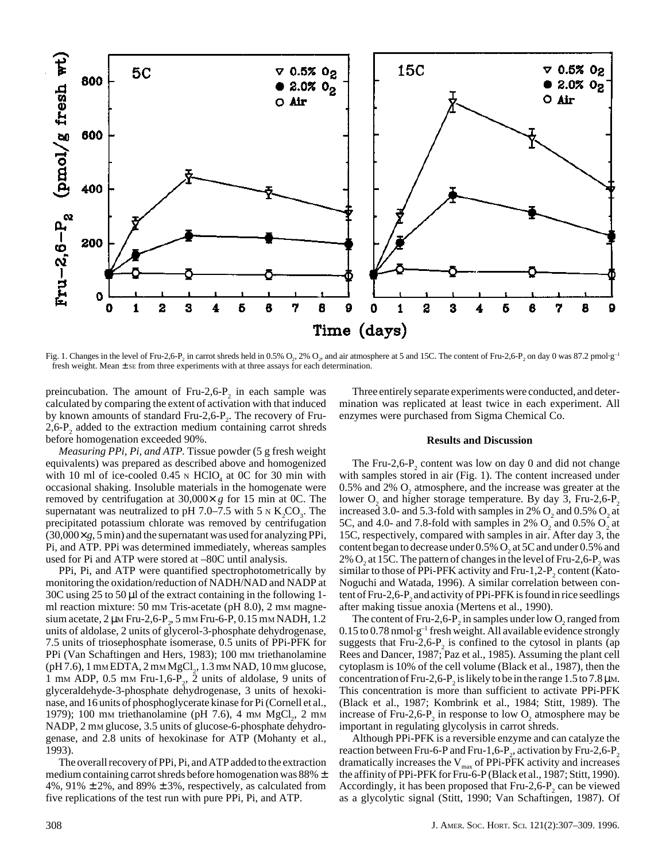

Fig. 1. Changes in the level of Fru-2,6-P<sub>2</sub> in carrot shreds held in 0.5%  $O_2$ , 2%  $O_2$ , and air atmosphere at 5 and 15C. The content of Fru-2,6-P<sub>2</sub> on day 0 was 87.2 pmol·g<sup>-1</sup> fresh weight. Mean  $\pm$  se from three experiments with at three assays for each determination.

preincubation. The amount of Fru-2,6-P<sub>2</sub> in each sample was calculated by comparing the extent of activation with that induced by known amounts of standard Fru-2,6-P<sub>2</sub>. The recovery of Fru-2,6- $P_2$  added to the extraction medium containing carrot shreds before homogenation exceeded 90%.

*Measuring PPi, Pi, and ATP*. Tissue powder (5 g fresh weight equivalents) was prepared as described above and homogenized with 10 ml of ice-cooled  $0.45 \text{ N HClO}_4$  at 0C for 30 min with occasional shaking. Insoluble materials in the homogenate were removed by centrifugation at 30,000× *g* for 15 min at 0C. The supernatant was neutralized to pH 7.0–7.5 with 5  $\,\mathrm{N}\,\mathrm{K}_2\mathrm{CO}_3$ . The precipitated potassium chlorate was removed by centrifugation  $(30,000\times g, 5 \text{ min})$  and the supernatant was used for analyzing PPi, Pi, and ATP. PPi was determined immediately, whereas samples used for Pi and ATP were stored at –80C until analysis.

PPi, Pi, and ATP were quantified spectrophotometrically by monitoring the oxidation/reduction of NADH/NAD and NADP at 30C using 25 to 50 µl of the extract containing in the following 1 ml reaction mixture: 50 mm Tris-acetate (pH 8.0), 2 mm magnesium acetate, 2  $\mu$ m Fru-2,6-P<sub>2</sub>, 5 mm Fru-6-P, 0.15 mm NADH, 1.2 units of aldolase, 2 units of glycerol-3-phosphate dehydrogenase, 7.5 units of triosephosphate isomerase, 0.5 units of PPi-PFK for PPi (Van Schaftingen and Hers, 1983); 100 mm triethanolamine  $(pH 7.6)$ , 1 mm EDTA, 2 mm MgCl<sub>2</sub>, 1.3 mm NAD, 10 mm glucose, 1 mm ADP,  $0.5$  mm Fru-1,6-P<sub>2</sub>, 2 units of aldolase, 9 units of glyceraldehyde-3-phosphate dehydrogenase, 3 units of hexokinase, and 16 units of phosphoglycerate kinase for Pi (Cornell et al., 1979); 100 mm triethanolamine (pH 7.6), 4 mm  $MgCl<sub>2</sub>$ , 2 mm NADP, 2 mm glucose, 3.5 units of glucose-6-phosphate dehydrogenase, and 2.8 units of hexokinase for ATP (Mohanty et al., 1993).

The overall recovery of PPi, Pi, and ATP added to the extraction medium containing carrot shreds before homogenation was 88% ± 4%, 91%  $\pm$  2%, and 89%  $\pm$  3%, respectively, as calculated from five replications of the test run with pure PPi, Pi, and ATP.

Three entirely separate experiments were conducted, and determination was replicated at least twice in each experiment. All enzymes were purchased from Sigma Chemical Co.

#### **Results and Discussion**

The Fru-2,6-P<sub>2</sub> content was low on day 0 and did not change with samples stored in air (Fig. 1). The content increased under 0.5% and 2%  $O_2$  atmosphere, and the increase was greater at the lower  $O_2$ , and higher storage temperature. By day 3, Fru-2,6-P<sub>2</sub> increased 3.0- and 5.3-fold with samples in 2%  $O_2$  and 0.5%  $O_2$  at 5C, and 4.0- and 7.8-fold with samples in 2%  $O_2$  and 0.5%  $O_2$  at 15C, respectively, compared with samples in air. After day 3, the content began to decrease under  $0.5\%$  O<sub>2</sub> at 5C and under  $0.5\%$  and 2%  $O_2$  at 15C. The pattern of changes in the level of Fru-2,6-P<sub>2</sub> was similar to those of PPi-PFK activity and Fru-1,2-P<sub>2</sub> content (Kato-Noguchi and Watada, 1996). A similar correlation between content of Fru-2,6-P<sub>2</sub> and activity of PPi-PFK is found in rice seedlings after making tissue anoxia (Mertens et al., 1990).

The content of Fru-2,6-P<sub>2</sub> in samples under low  $O_2$  ranged from  $0.15$  to  $0.78$  nmol·g<sup>-1</sup> fresh weight. All available evidence strongly suggests that Fru-2,6- $P_2$  is confined to the cytosol in plants (ap Rees and Dancer, 1987; Paz et al., 1985). Assuming the plant cell cytoplasm is 10% of the cell volume (Black et al., 1987), then the concentration of Fru-2,6-P<sub>2</sub> is likely to be in the range 1.5 to 7.8  $\mu$ M. This concentration is more than sufficient to activate PPi-PFK (Black et al., 1987; Kombrink et al., 1984; Stitt, 1989). The increase of Fru-2,6-P<sub>2</sub> in response to low  $O_2$  atmosphere may be important in regulating glycolysis in carrot shreds.

Although PPi-PFK is a reversible enzyme and can catalyze the reaction between Fru-6-P and Fru-1,6-P<sub>2</sub>, activation by Fru-2,6-P<sub>2</sub> dramatically increases the  $V_{max}$  of PPi-PFK activity and increases the affinity of PPi-PFK for Fru-6-P (Black et al., 1987; Stitt, 1990). Accordingly, it has been proposed that  $Fru-2,6-P$ , can be viewed as a glycolytic signal (Stitt, 1990; Van Schaftingen, 1987). Of